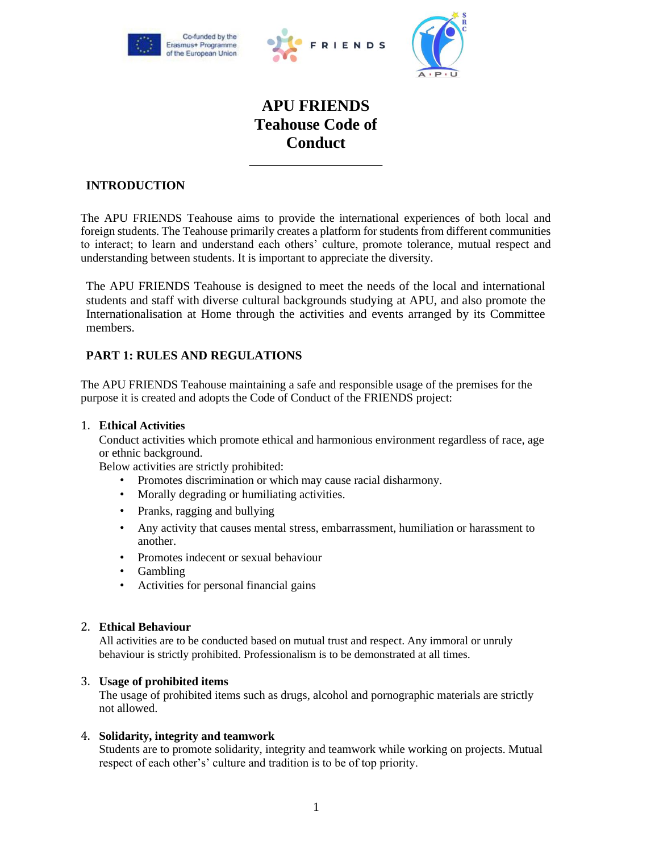





# **APU FRIENDS Teahouse Code of Conduct**

# **INTRODUCTION**

The APU FRIENDS Teahouse aims to provide the international experiences of both local and foreign students. The Teahouse primarily creates a platform for students from different communities to interact; to learn and understand each others' culture, promote tolerance, mutual respect and understanding between students. It is important to appreciate the diversity.

The APU FRIENDS Teahouse is designed to meet the needs of the local and international students and staff with diverse cultural backgrounds studying at APU, and also promote the Internationalisation at Home through the activities and events arranged by its Committee members.

# **PART 1: RULES AND REGULATIONS**

The APU FRIENDS Teahouse maintaining a safe and responsible usage of the premises for the purpose it is created and adopts the Code of Conduct of the FRIENDS project:

# 1. **Ethical Activities**

Conduct activities which promote ethical and harmonious environment regardless of race, age or ethnic background.

Below activities are strictly prohibited:

- Promotes discrimination or which may cause racial disharmony.
- Morally degrading or humiliating activities.
- Pranks, ragging and bullying
- Any activity that causes mental stress, embarrassment, humiliation or harassment to another.
- Promotes indecent or sexual behaviour
- Gambling
- Activities for personal financial gains

#### 2. **Ethical Behaviour**

All activities are to be conducted based on mutual trust and respect. Any immoral or unruly behaviour is strictly prohibited. Professionalism is to be demonstrated at all times.

### 3. **Usage of prohibited items**

The usage of prohibited items such as drugs, alcohol and pornographic materials are strictly not allowed.

### 4. **Solidarity, integrity and teamwork**

Students are to promote solidarity, integrity and teamwork while working on projects. Mutual respect of each other's' culture and tradition is to be of top priority.